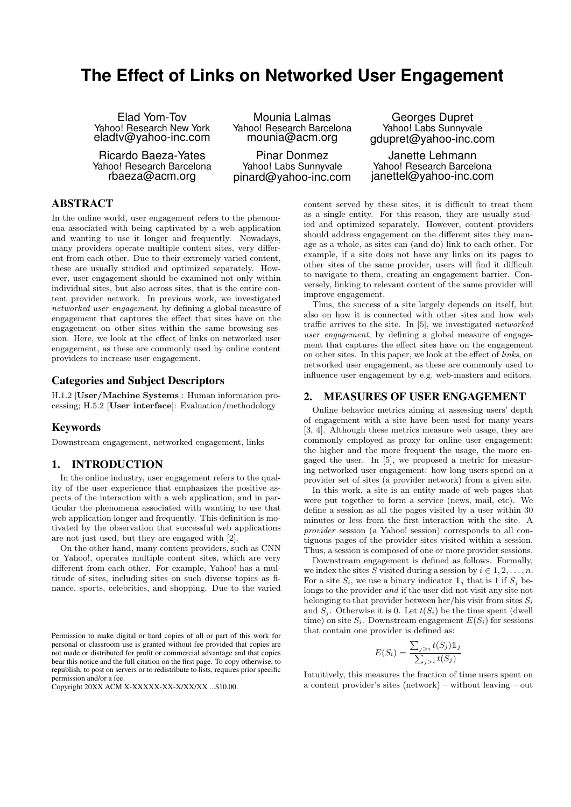# **The Effect of Links on Networked User Engagement**

Elad Yom-Tov Yahoo! Research New York eladtv@yahoo-inc.com

Ricardo Baeza-Yates Yahoo! Research Barcelona rbaeza@acm.org

Mounia Lalmas Yahoo! Research Barcelona mounia@acm.org

Pinar Donmez Yahoo! Labs Sunnyvale pinard@yahoo-inc.com

Georges Dupret Yahoo! Labs Sunnyvale gdupret@yahoo-inc.com

Janette Lehmann Yahoo! Research Barcelona janettel@yahoo-inc.com

# ABSTRACT

In the online world, user engagement refers to the phenomena associated with being captivated by a web application and wanting to use it longer and frequently. Nowadays, many providers operate multiple content sites, very different from each other. Due to their extremely varied content, these are usually studied and optimized separately. However, user engagement should be examined not only within individual sites, but also across sites, that is the entire content provider network. In previous work, we investigated networked user engagement, by defining a global measure of engagement that captures the effect that sites have on the engagement on other sites within the same browsing session. Here, we look at the effect of links on networked user engagement, as these are commonly used by online content providers to increase user engagement.

#### Categories and Subject Descriptors

H.1.2 [User/Machine Systems]: Human information processing; H.5.2 [User interface]: Evaluation/methodology

#### Keywords

Downstream engagement, networked engagement, links

### 1. INTRODUCTION

In the online industry, user engagement refers to the quality of the user experience that emphasizes the positive aspects of the interaction with a web application, and in particular the phenomena associated with wanting to use that web application longer and frequently. This definition is motivated by the observation that successful web applications are not just used, but they are engaged with [2].

On the other hand, many content providers, such as CNN or Yahoo!, operates multiple content sites, which are very different from each other. For example, Yahoo! has a multitude of sites, including sites on such diverse topics as finance, sports, celebrities, and shopping. Due to the varied

content served by these sites, it is difficult to treat them as a single entity. For this reason, they are usually studied and optimized separately. However, content providers should address engagement on the different sites they manage as a whole, as sites can (and do) link to each other. For example, if a site does not have any links on its pages to other sites of the same provider, users will find it difficult to navigate to them, creating an engagement barrier. Conversely, linking to relevant content of the same provider will improve engagement.

Thus, the success of a site largely depends on itself, but also on how it is connected with other sites and how web traffic arrives to the site. In [5], we investigated networked user engagement, by defining a global measure of engagement that captures the effect sites have on the engagement on other sites. In this paper, we look at the effect of links, on networked user engagement, as these are commonly used to influence user engagement by e.g. web-masters and editors.

## 2. MEASURES OF USER ENGAGEMENT

Online behavior metrics aiming at assessing users' depth of engagement with a site have been used for many years [3, 4]. Although these metrics measure web usage, they are commonly employed as proxy for online user engagement: the higher and the more frequent the usage, the more engaged the user. In [5], we proposed a metric for measuring networked user engagement: how long users spend on a provider set of sites (a provider network) from a given site.

In this work, a site is an entity made of web pages that were put together to form a service (news, mail, etc). We define a session as all the pages visited by a user within 30 minutes or less from the first interaction with the site. A provider session (a Yahoo! session) corresponds to all contiguous pages of the provider sites visited within a session. Thus, a session is composed of one or more provider sessions.

Downstream engagement is defined as follows. Formally, we index the sites S visited during a session by  $i \in 1, 2, \ldots, n$ . For a site  $S_i$ , we use a binary indicator  $\mathbb{1}_i$  that is 1 if  $S_i$  belongs to the provider and if the user did not visit any site not belonging to that provider between her/his visit from sites  $S_i$ and  $S_i$ . Otherwise it is 0. Let  $t(S_i)$  be the time spent (dwell time) on site  $S_i$ . Downstream engagement  $E(S_i)$  for sessions that contain one provider is defined as:

$$
E(S_i) = \frac{\sum_{j>i} t(S_j) \mathbb{1}_j}{\sum_{j>i} t(S_j)}
$$

Intuitively, this measures the fraction of time users spent on a content provider's sites (network) – without leaving – out

Permission to make digital or hard copies of all or part of this work for personal or classroom use is granted without fee provided that copies are not made or distributed for profit or commercial advantage and that copies bear this notice and the full citation on the first page. To copy otherwise, to republish, to post on servers or to redistribute to lists, requires prior specific permission and/or a fee.

Copyright 20XX ACM X-XXXXX-XX-X/XX/XX ...\$10.00.